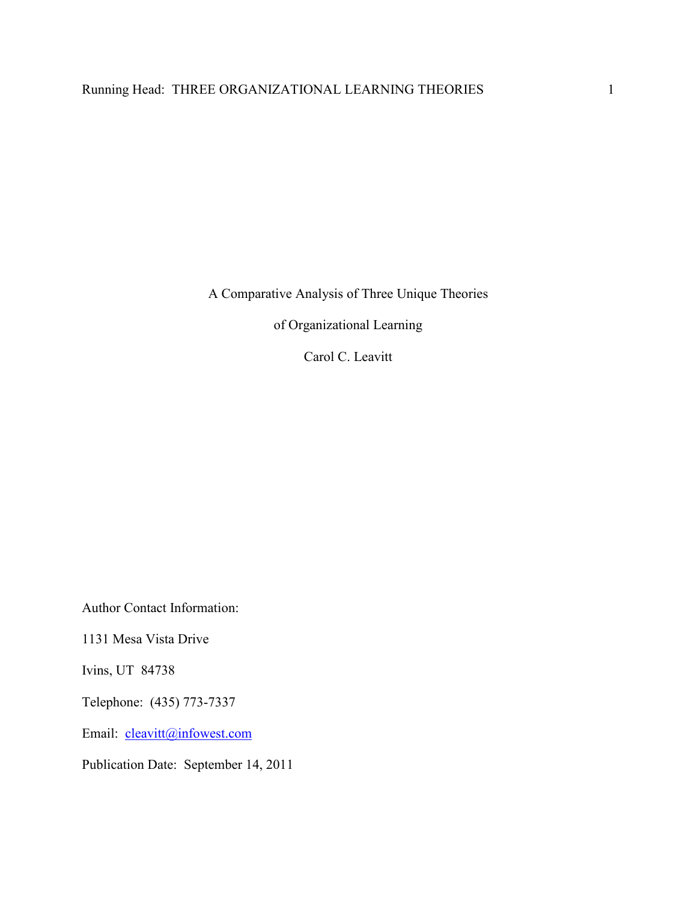A Comparative Analysis of Three Unique Theories

of Organizational Learning

Carol C. Leavitt

Author Contact Information:

1131 Mesa Vista Drive

Ivins, UT 84738

Telephone: (435) 773-7337

Email: cleavitt@infowest.com

Publication Date: September 14, 2011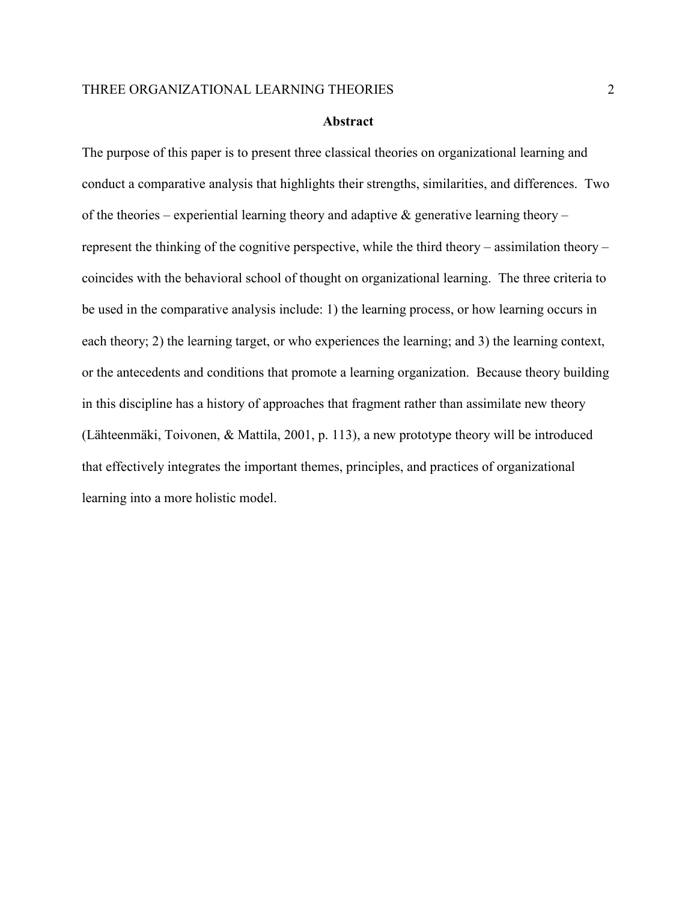#### **Abstract**

The purpose of this paper is to present three classical theories on organizational learning and conduct a comparative analysis that highlights their strengths, similarities, and differences. Two of the theories – experiential learning theory and adaptive  $\&$  generative learning theory – represent the thinking of the cognitive perspective, while the third theory – assimilation theory – coincides with the behavioral school of thought on organizational learning. The three criteria to be used in the comparative analysis include: 1) the learning process, or how learning occurs in each theory; 2) the learning target, or who experiences the learning; and 3) the learning context, or the antecedents and conditions that promote a learning organization. Because theory building in this discipline has a history of approaches that fragment rather than assimilate new theory (Lähteenmäki, Toivonen, & Mattila, 2001, p. 113), a new prototype theory will be introduced that effectively integrates the important themes, principles, and practices of organizational learning into a more holistic model.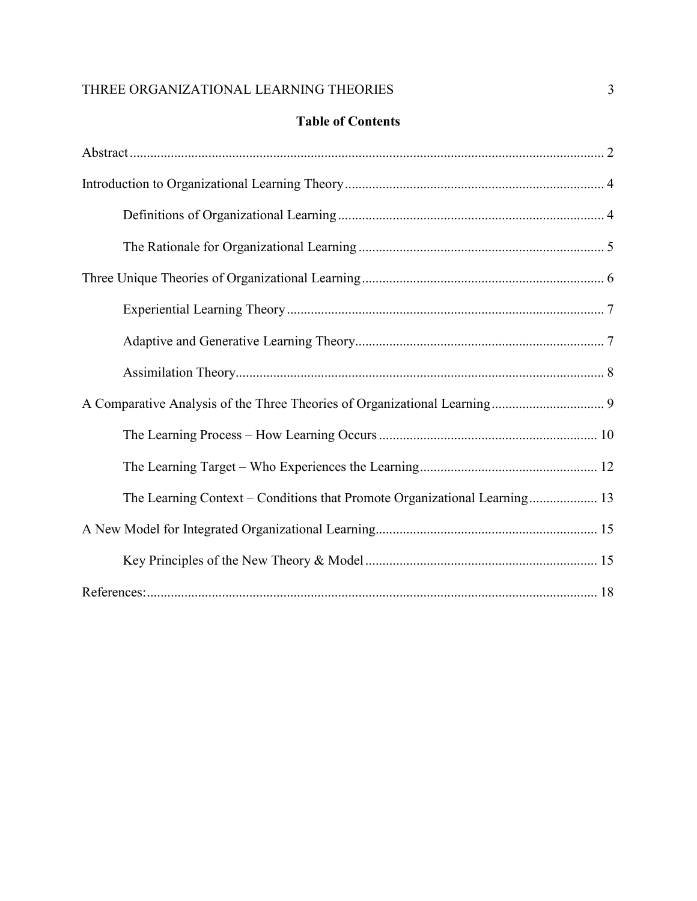# **Table of Contents**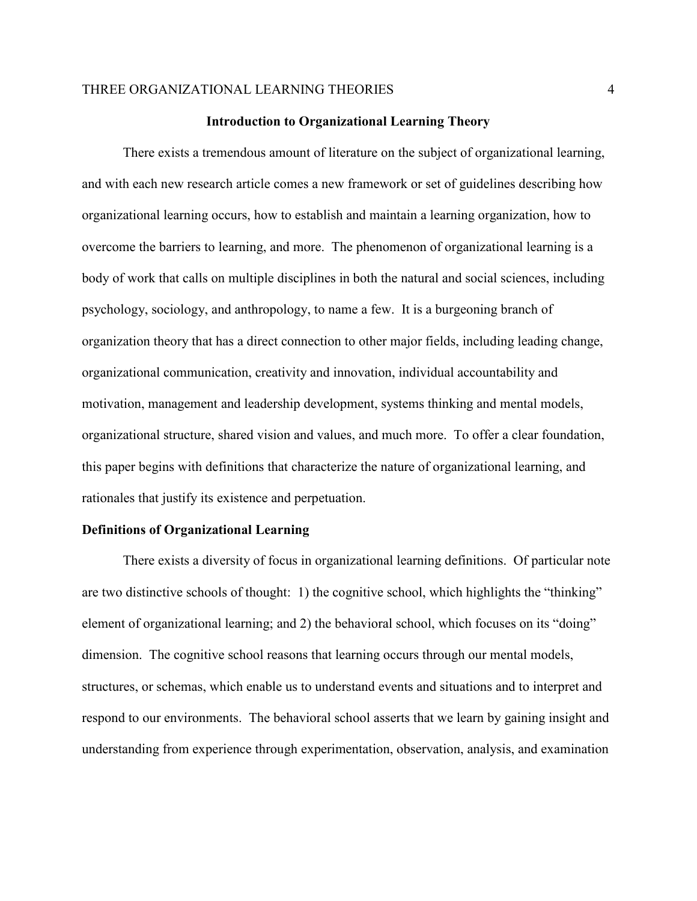#### **Introduction to Organizational Learning Theory**

There exists a tremendous amount of literature on the subject of organizational learning, and with each new research article comes a new framework or set of guidelines describing how organizational learning occurs, how to establish and maintain a learning organization, how to overcome the barriers to learning, and more. The phenomenon of organizational learning is a body of work that calls on multiple disciplines in both the natural and social sciences, including psychology, sociology, and anthropology, to name a few. It is a burgeoning branch of organization theory that has a direct connection to other major fields, including leading change, organizational communication, creativity and innovation, individual accountability and motivation, management and leadership development, systems thinking and mental models, organizational structure, shared vision and values, and much more. To offer a clear foundation, this paper begins with definitions that characterize the nature of organizational learning, and rationales that justify its existence and perpetuation.

#### **Definitions of Organizational Learning**

There exists a diversity of focus in organizational learning definitions. Of particular note are two distinctive schools of thought: 1) the cognitive school, which highlights the "thinking" element of organizational learning; and 2) the behavioral school, which focuses on its "doing" dimension. The cognitive school reasons that learning occurs through our mental models, structures, or schemas, which enable us to understand events and situations and to interpret and respond to our environments. The behavioral school asserts that we learn by gaining insight and understanding from experience through experimentation, observation, analysis, and examination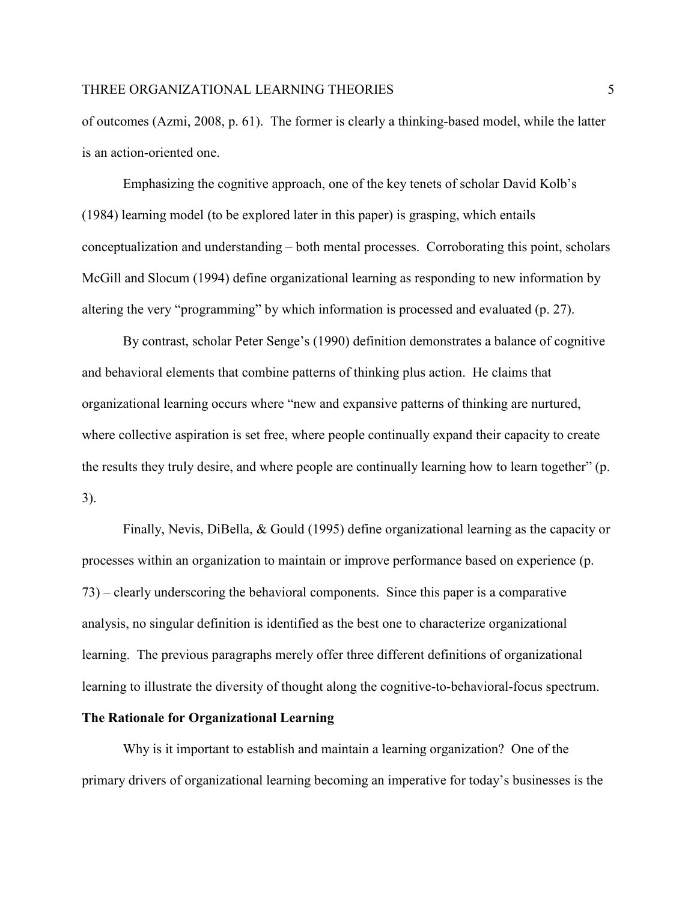of outcomes (Azmi, 2008, p. 61). The former is clearly a thinking-based model, while the latter is an action-oriented one.

Emphasizing the cognitive approach, one of the key tenets of scholar David Kolb's (1984) learning model (to be explored later in this paper) is grasping, which entails conceptualization and understanding – both mental processes. Corroborating this point, scholars McGill and Slocum (1994) define organizational learning as responding to new information by altering the very "programming" by which information is processed and evaluated (p. 27).

By contrast, scholar Peter Senge's (1990) definition demonstrates a balance of cognitive and behavioral elements that combine patterns of thinking plus action. He claims that organizational learning occurs where "new and expansive patterns of thinking are nurtured, where collective aspiration is set free, where people continually expand their capacity to create the results they truly desire, and where people are continually learning how to learn together" (p. 3).

Finally, Nevis, DiBella, & Gould (1995) define organizational learning as the capacity or processes within an organization to maintain or improve performance based on experience (p. 73) – clearly underscoring the behavioral components. Since this paper is a comparative analysis, no singular definition is identified as the best one to characterize organizational learning. The previous paragraphs merely offer three different definitions of organizational learning to illustrate the diversity of thought along the cognitive-to-behavioral-focus spectrum.

## **The Rationale for Organizational Learning**

Why is it important to establish and maintain a learning organization? One of the primary drivers of organizational learning becoming an imperative for today's businesses is the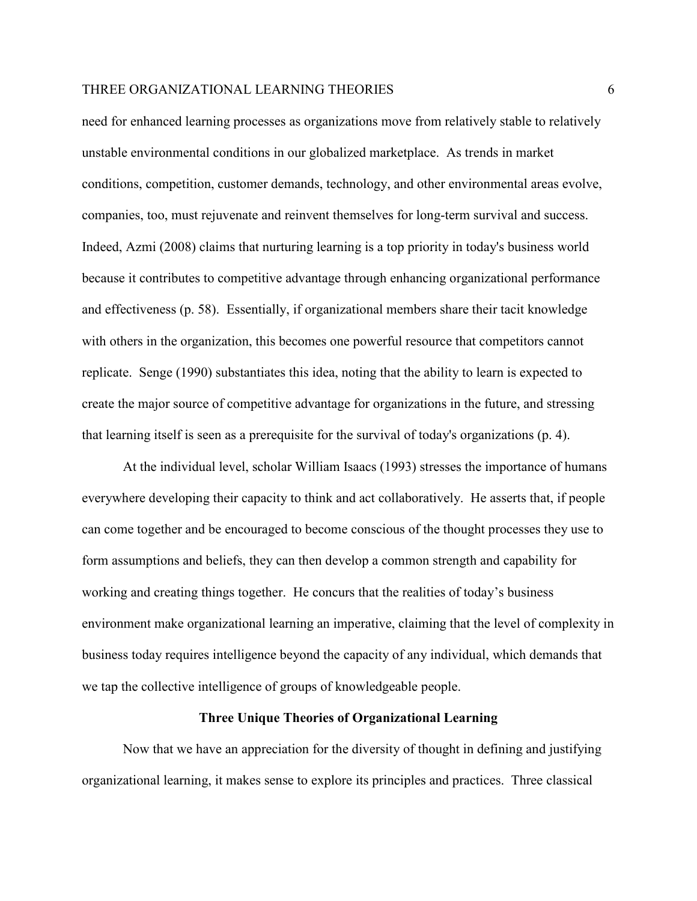need for enhanced learning processes as organizations move from relatively stable to relatively unstable environmental conditions in our globalized marketplace. As trends in market conditions, competition, customer demands, technology, and other environmental areas evolve, companies, too, must rejuvenate and reinvent themselves for long-term survival and success. Indeed, Azmi (2008) claims that nurturing learning is a top priority in today's business world because it contributes to competitive advantage through enhancing organizational performance and effectiveness (p. 58). Essentially, if organizational members share their tacit knowledge with others in the organization, this becomes one powerful resource that competitors cannot replicate. Senge (1990) substantiates this idea, noting that the ability to learn is expected to create the major source of competitive advantage for organizations in the future, and stressing that learning itself is seen as a prerequisite for the survival of today's organizations (p. 4).

At the individual level, scholar William Isaacs (1993) stresses the importance of humans everywhere developing their capacity to think and act collaboratively. He asserts that, if people can come together and be encouraged to become conscious of the thought processes they use to form assumptions and beliefs, they can then develop a common strength and capability for working and creating things together. He concurs that the realities of today's business environment make organizational learning an imperative, claiming that the level of complexity in business today requires intelligence beyond the capacity of any individual, which demands that we tap the collective intelligence of groups of knowledgeable people.

#### **Three Unique Theories of Organizational Learning**

Now that we have an appreciation for the diversity of thought in defining and justifying organizational learning, it makes sense to explore its principles and practices. Three classical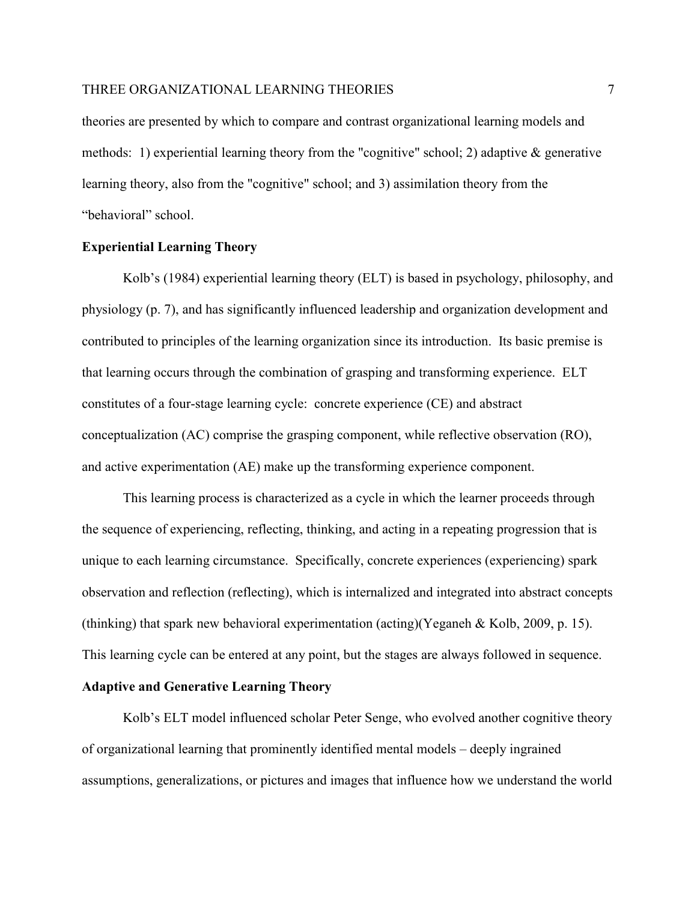theories are presented by which to compare and contrast organizational learning models and methods: 1) experiential learning theory from the "cognitive" school; 2) adaptive & generative learning theory, also from the "cognitive" school; and 3) assimilation theory from the "behavioral" school.

# **Experiential Learning Theory**

Kolb's (1984) experiential learning theory (ELT) is based in psychology, philosophy, and physiology (p. 7), and has significantly influenced leadership and organization development and contributed to principles of the learning organization since its introduction. Its basic premise is that learning occurs through the combination of grasping and transforming experience. ELT constitutes of a four-stage learning cycle: concrete experience (CE) and abstract conceptualization (AC) comprise the grasping component, while reflective observation (RO), and active experimentation (AE) make up the transforming experience component.

This learning process is characterized as a cycle in which the learner proceeds through the sequence of experiencing, reflecting, thinking, and acting in a repeating progression that is unique to each learning circumstance. Specifically, concrete experiences (experiencing) spark observation and reflection (reflecting), which is internalized and integrated into abstract concepts (thinking) that spark new behavioral experimentation (acting)(Yeganeh & Kolb, 2009, p. 15). This learning cycle can be entered at any point, but the stages are always followed in sequence.

## **Adaptive and Generative Learning Theory**

Kolb's ELT model influenced scholar Peter Senge, who evolved another cognitive theory of organizational learning that prominently identified mental models – deeply ingrained assumptions, generalizations, or pictures and images that influence how we understand the world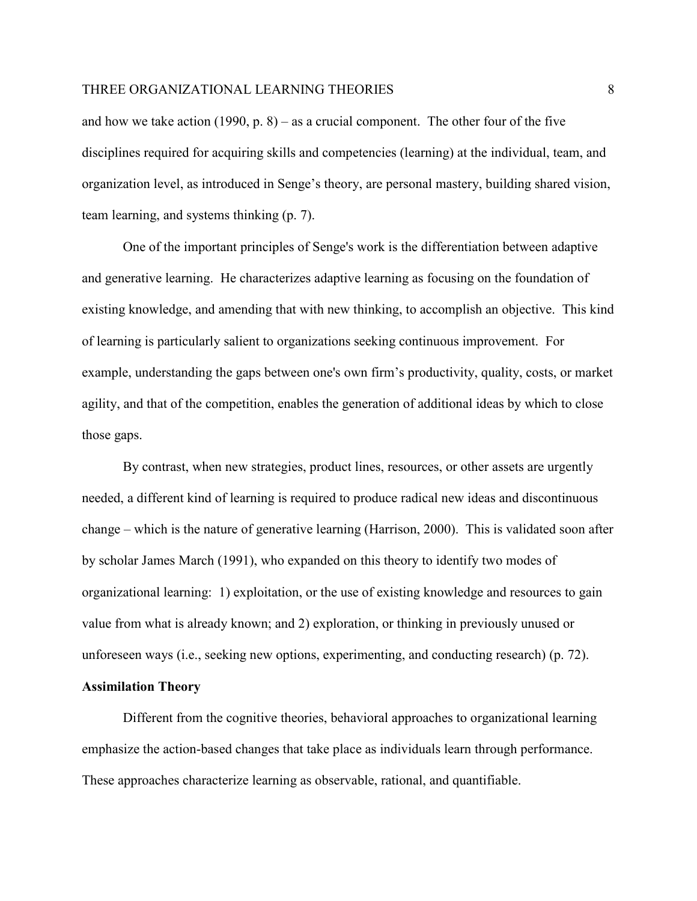and how we take action  $(1990, p. 8)$  – as a crucial component. The other four of the five disciplines required for acquiring skills and competencies (learning) at the individual, team, and organization level, as introduced in Senge's theory, are personal mastery, building shared vision, team learning, and systems thinking (p. 7).

One of the important principles of Senge's work is the differentiation between adaptive and generative learning. He characterizes adaptive learning as focusing on the foundation of existing knowledge, and amending that with new thinking, to accomplish an objective. This kind of learning is particularly salient to organizations seeking continuous improvement. For example, understanding the gaps between one's own firm's productivity, quality, costs, or market agility, and that of the competition, enables the generation of additional ideas by which to close those gaps.

By contrast, when new strategies, product lines, resources, or other assets are urgently needed, a different kind of learning is required to produce radical new ideas and discontinuous change – which is the nature of generative learning (Harrison, 2000). This is validated soon after by scholar James March (1991), who expanded on this theory to identify two modes of organizational learning: 1) exploitation, or the use of existing knowledge and resources to gain value from what is already known; and 2) exploration, or thinking in previously unused or unforeseen ways (i.e., seeking new options, experimenting, and conducting research) (p. 72).

# **Assimilation Theory**

Different from the cognitive theories, behavioral approaches to organizational learning emphasize the action-based changes that take place as individuals learn through performance. These approaches characterize learning as observable, rational, and quantifiable.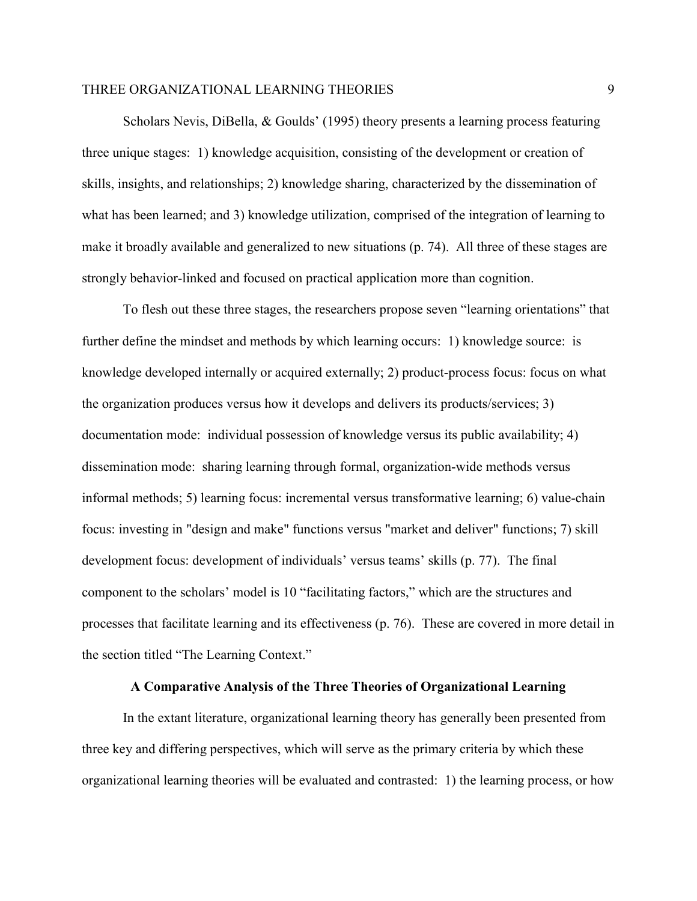Scholars Nevis, DiBella, & Goulds' (1995) theory presents a learning process featuring three unique stages: 1) knowledge acquisition, consisting of the development or creation of skills, insights, and relationships; 2) knowledge sharing, characterized by the dissemination of what has been learned; and 3) knowledge utilization, comprised of the integration of learning to make it broadly available and generalized to new situations (p. 74). All three of these stages are strongly behavior-linked and focused on practical application more than cognition.

To flesh out these three stages, the researchers propose seven "learning orientations" that further define the mindset and methods by which learning occurs: 1) knowledge source: is knowledge developed internally or acquired externally; 2) product-process focus: focus on what the organization produces versus how it develops and delivers its products/services; 3) documentation mode: individual possession of knowledge versus its public availability; 4) dissemination mode: sharing learning through formal, organization-wide methods versus informal methods; 5) learning focus: incremental versus transformative learning; 6) value-chain focus: investing in "design and make" functions versus "market and deliver" functions; 7) skill development focus: development of individuals' versus teams' skills (p. 77). The final component to the scholars' model is 10 "facilitating factors," which are the structures and processes that facilitate learning and its effectiveness (p. 76). These are covered in more detail in the section titled "The Learning Context."

## **A Comparative Analysis of the Three Theories of Organizational Learning**

In the extant literature, organizational learning theory has generally been presented from three key and differing perspectives, which will serve as the primary criteria by which these organizational learning theories will be evaluated and contrasted: 1) the learning process, or how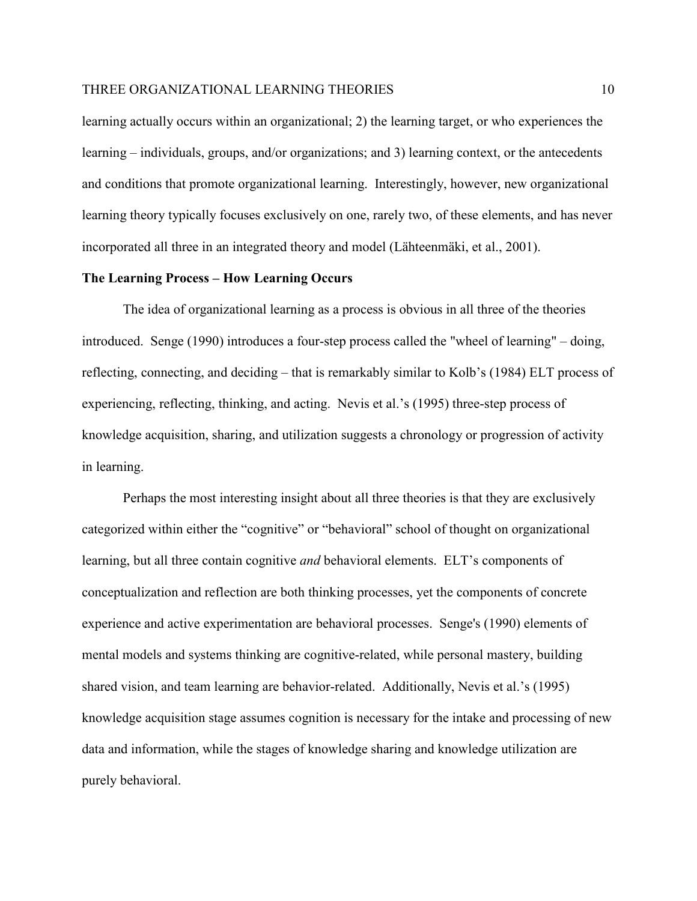learning actually occurs within an organizational; 2) the learning target, or who experiences the learning – individuals, groups, and/or organizations; and 3) learning context, or the antecedents and conditions that promote organizational learning. Interestingly, however, new organizational learning theory typically focuses exclusively on one, rarely two, of these elements, and has never incorporated all three in an integrated theory and model (Lähteenmäki, et al., 2001).

# **The Learning Process – How Learning Occurs**

The idea of organizational learning as a process is obvious in all three of the theories introduced. Senge (1990) introduces a four-step process called the "wheel of learning" – doing, reflecting, connecting, and deciding – that is remarkably similar to Kolb's (1984) ELT process of experiencing, reflecting, thinking, and acting. Nevis et al.'s (1995) three-step process of knowledge acquisition, sharing, and utilization suggests a chronology or progression of activity in learning.

Perhaps the most interesting insight about all three theories is that they are exclusively categorized within either the "cognitive" or "behavioral" school of thought on organizational learning, but all three contain cognitive *and* behavioral elements. ELT's components of conceptualization and reflection are both thinking processes, yet the components of concrete experience and active experimentation are behavioral processes. Senge's (1990) elements of mental models and systems thinking are cognitive-related, while personal mastery, building shared vision, and team learning are behavior-related. Additionally, Nevis et al.'s (1995) knowledge acquisition stage assumes cognition is necessary for the intake and processing of new data and information, while the stages of knowledge sharing and knowledge utilization are purely behavioral.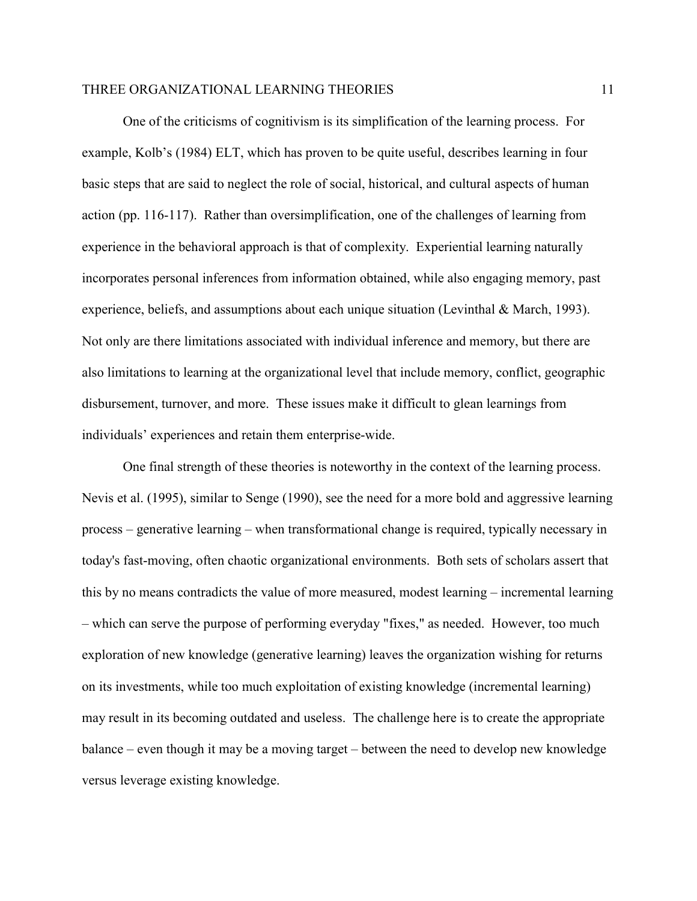One of the criticisms of cognitivism is its simplification of the learning process. For example, Kolb's (1984) ELT, which has proven to be quite useful, describes learning in four basic steps that are said to neglect the role of social, historical, and cultural aspects of human action (pp. 116-117). Rather than oversimplification, one of the challenges of learning from experience in the behavioral approach is that of complexity. Experiential learning naturally incorporates personal inferences from information obtained, while also engaging memory, past experience, beliefs, and assumptions about each unique situation (Levinthal & March, 1993). Not only are there limitations associated with individual inference and memory, but there are also limitations to learning at the organizational level that include memory, conflict, geographic disbursement, turnover, and more. These issues make it difficult to glean learnings from individuals' experiences and retain them enterprise-wide.

One final strength of these theories is noteworthy in the context of the learning process. Nevis et al. (1995), similar to Senge (1990), see the need for a more bold and aggressive learning process – generative learning – when transformational change is required, typically necessary in today's fast-moving, often chaotic organizational environments. Both sets of scholars assert that this by no means contradicts the value of more measured, modest learning – incremental learning – which can serve the purpose of performing everyday "fixes," as needed. However, too much exploration of new knowledge (generative learning) leaves the organization wishing for returns on its investments, while too much exploitation of existing knowledge (incremental learning) may result in its becoming outdated and useless. The challenge here is to create the appropriate balance – even though it may be a moving target – between the need to develop new knowledge versus leverage existing knowledge.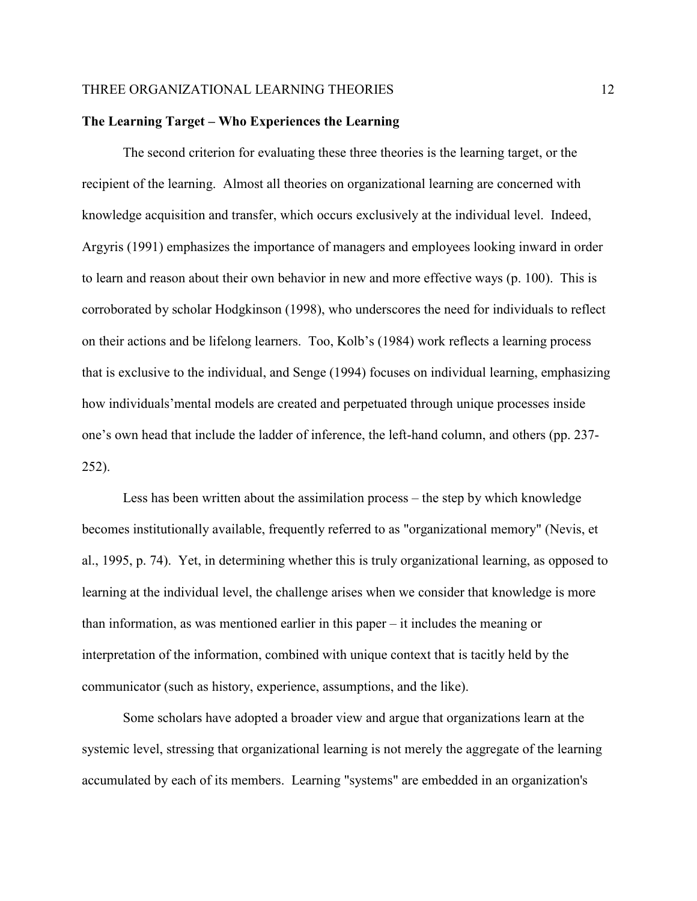# **The Learning Target – Who Experiences the Learning**

The second criterion for evaluating these three theories is the learning target, or the recipient of the learning. Almost all theories on organizational learning are concerned with knowledge acquisition and transfer, which occurs exclusively at the individual level. Indeed, Argyris (1991) emphasizes the importance of managers and employees looking inward in order to learn and reason about their own behavior in new and more effective ways (p. 100). This is corroborated by scholar Hodgkinson (1998), who underscores the need for individuals to reflect on their actions and be lifelong learners. Too, Kolb's (1984) work reflects a learning process that is exclusive to the individual, and Senge (1994) focuses on individual learning, emphasizing how individuals'mental models are created and perpetuated through unique processes inside one's own head that include the ladder of inference, the left-hand column, and others (pp. 237- 252).

Less has been written about the assimilation process – the step by which knowledge becomes institutionally available, frequently referred to as "organizational memory" (Nevis, et al., 1995, p. 74). Yet, in determining whether this is truly organizational learning, as opposed to learning at the individual level, the challenge arises when we consider that knowledge is more than information, as was mentioned earlier in this paper – it includes the meaning or interpretation of the information, combined with unique context that is tacitly held by the communicator (such as history, experience, assumptions, and the like).

Some scholars have adopted a broader view and argue that organizations learn at the systemic level, stressing that organizational learning is not merely the aggregate of the learning accumulated by each of its members. Learning "systems" are embedded in an organization's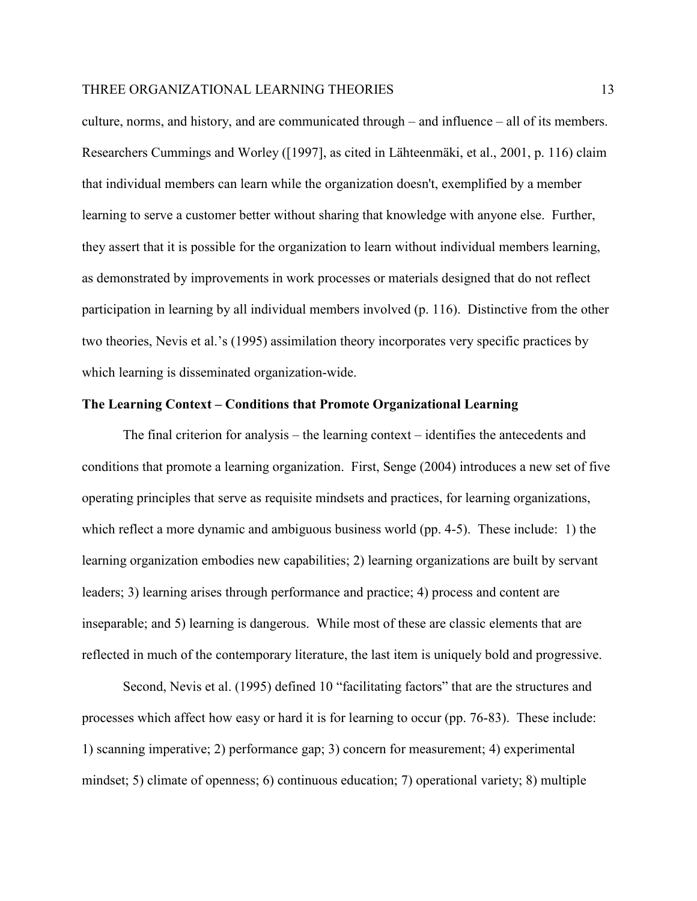culture, norms, and history, and are communicated through – and influence – all of its members. Researchers Cummings and Worley ([1997], as cited in Lähteenmäki, et al., 2001, p. 116) claim that individual members can learn while the organization doesn't, exemplified by a member learning to serve a customer better without sharing that knowledge with anyone else. Further, they assert that it is possible for the organization to learn without individual members learning, as demonstrated by improvements in work processes or materials designed that do not reflect participation in learning by all individual members involved (p. 116). Distinctive from the other two theories, Nevis et al.'s (1995) assimilation theory incorporates very specific practices by which learning is disseminated organization-wide.

#### **The Learning Context – Conditions that Promote Organizational Learning**

The final criterion for analysis – the learning context – identifies the antecedents and conditions that promote a learning organization. First, Senge (2004) introduces a new set of five operating principles that serve as requisite mindsets and practices, for learning organizations, which reflect a more dynamic and ambiguous business world (pp. 4-5). These include: 1) the learning organization embodies new capabilities; 2) learning organizations are built by servant leaders; 3) learning arises through performance and practice; 4) process and content are inseparable; and 5) learning is dangerous. While most of these are classic elements that are reflected in much of the contemporary literature, the last item is uniquely bold and progressive.

Second, Nevis et al. (1995) defined 10 "facilitating factors" that are the structures and processes which affect how easy or hard it is for learning to occur (pp. 76-83). These include: 1) scanning imperative; 2) performance gap; 3) concern for measurement; 4) experimental mindset; 5) climate of openness; 6) continuous education; 7) operational variety; 8) multiple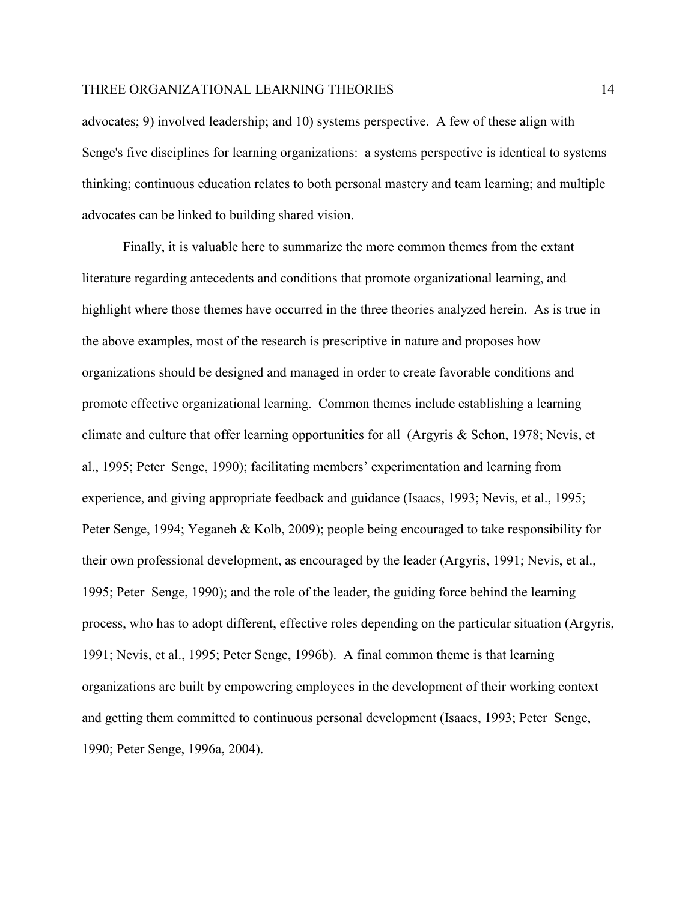advocates; 9) involved leadership; and 10) systems perspective. A few of these align with Senge's five disciplines for learning organizations: a systems perspective is identical to systems thinking; continuous education relates to both personal mastery and team learning; and multiple advocates can be linked to building shared vision.

Finally, it is valuable here to summarize the more common themes from the extant literature regarding antecedents and conditions that promote organizational learning, and highlight where those themes have occurred in the three theories analyzed herein. As is true in the above examples, most of the research is prescriptive in nature and proposes how organizations should be designed and managed in order to create favorable conditions and promote effective organizational learning. Common themes include establishing a learning climate and culture that offer learning opportunities for all (Argyris & Schon, 1978; Nevis, et al., 1995; Peter Senge, 1990); facilitating members' experimentation and learning from experience, and giving appropriate feedback and guidance (Isaacs, 1993; Nevis, et al., 1995; Peter Senge, 1994; Yeganeh & Kolb, 2009); people being encouraged to take responsibility for their own professional development, as encouraged by the leader (Argyris, 1991; Nevis, et al., 1995; Peter Senge, 1990); and the role of the leader, the guiding force behind the learning process, who has to adopt different, effective roles depending on the particular situation (Argyris, 1991; Nevis, et al., 1995; Peter Senge, 1996b). A final common theme is that learning organizations are built by empowering employees in the development of their working context and getting them committed to continuous personal development (Isaacs, 1993; Peter Senge, 1990; Peter Senge, 1996a, 2004).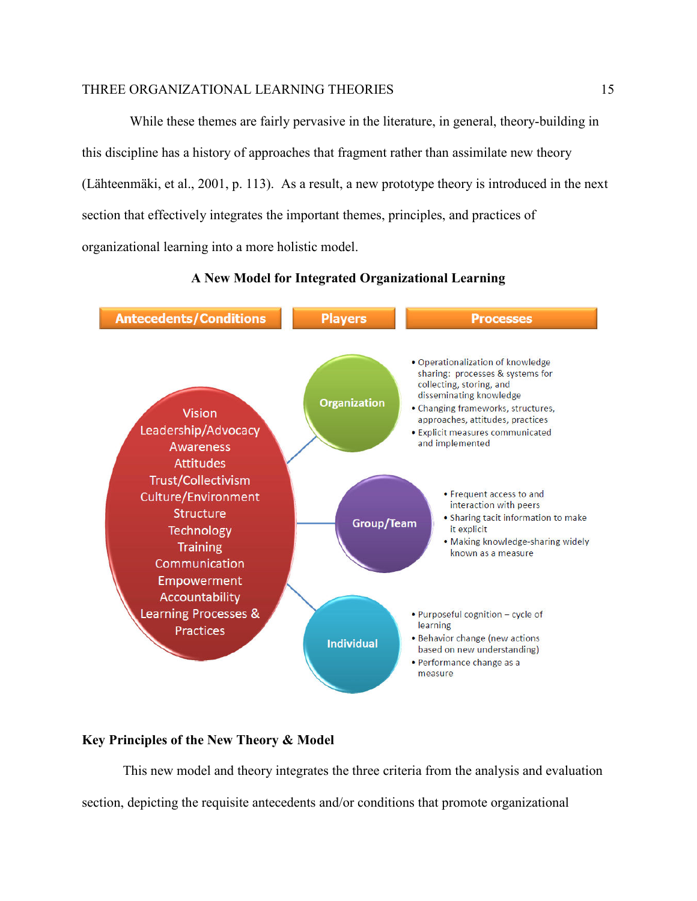While these themes are fairly pervasive in the literature, in general, theory-building in this discipline has a history of approaches that fragment rather than assimilate new theory (Lähteenmäki, et al., 2001, p. 113). As a result, a new prototype theory is introduced in the next section that effectively integrates the important themes, principles, and practices of organizational learning into a more holistic model.

# **A New Model for Integrated Organizational Learning**



# **Key Principles of the New Theory & Model**

 This new model and theory integrates the three criteria from the analysis and evaluation section, depicting the requisite antecedents and/or conditions that promote organizational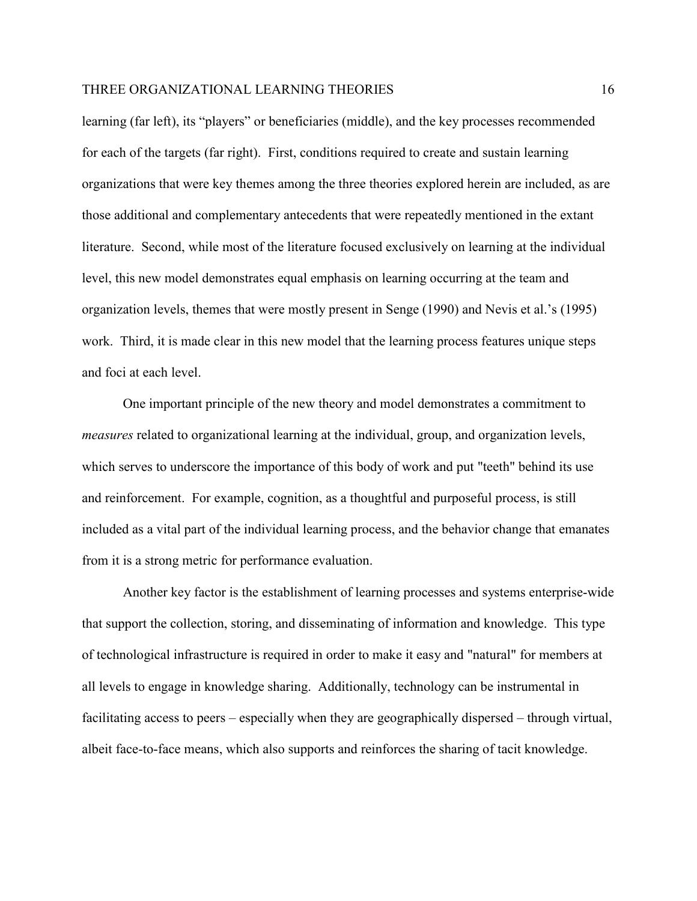learning (far left), its "players" or beneficiaries (middle), and the key processes recommended for each of the targets (far right). First, conditions required to create and sustain learning organizations that were key themes among the three theories explored herein are included, as are those additional and complementary antecedents that were repeatedly mentioned in the extant literature. Second, while most of the literature focused exclusively on learning at the individual level, this new model demonstrates equal emphasis on learning occurring at the team and organization levels, themes that were mostly present in Senge (1990) and Nevis et al.'s (1995) work. Third, it is made clear in this new model that the learning process features unique steps and foci at each level.

One important principle of the new theory and model demonstrates a commitment to *measures* related to organizational learning at the individual, group, and organization levels, which serves to underscore the importance of this body of work and put "teeth" behind its use and reinforcement. For example, cognition, as a thoughtful and purposeful process, is still included as a vital part of the individual learning process, and the behavior change that emanates from it is a strong metric for performance evaluation.

Another key factor is the establishment of learning processes and systems enterprise-wide that support the collection, storing, and disseminating of information and knowledge. This type of technological infrastructure is required in order to make it easy and "natural" for members at all levels to engage in knowledge sharing. Additionally, technology can be instrumental in facilitating access to peers – especially when they are geographically dispersed – through virtual, albeit face-to-face means, which also supports and reinforces the sharing of tacit knowledge.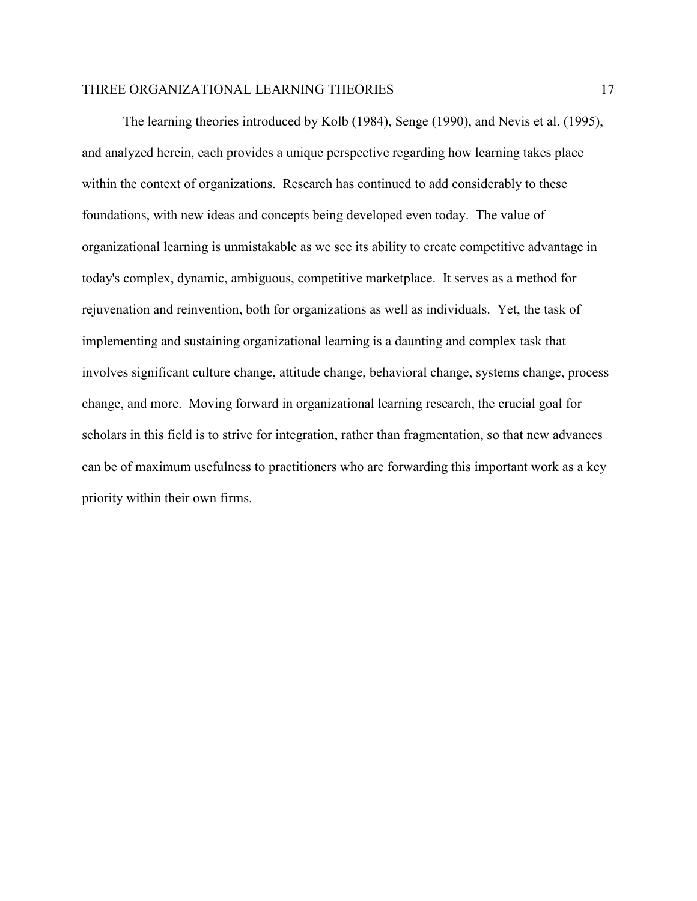The learning theories introduced by Kolb (1984), Senge (1990), and Nevis et al. (1995), and analyzed herein, each provides a unique perspective regarding how learning takes place within the context of organizations. Research has continued to add considerably to these foundations, with new ideas and concepts being developed even today. The value of organizational learning is unmistakable as we see its ability to create competitive advantage in today's complex, dynamic, ambiguous, competitive marketplace. It serves as a method for rejuvenation and reinvention, both for organizations as well as individuals. Yet, the task of implementing and sustaining organizational learning is a daunting and complex task that involves significant culture change, attitude change, behavioral change, systems change, process change, and more. Moving forward in organizational learning research, the crucial goal for scholars in this field is to strive for integration, rather than fragmentation, so that new advances can be of maximum usefulness to practitioners who are forwarding this important work as a key priority within their own firms.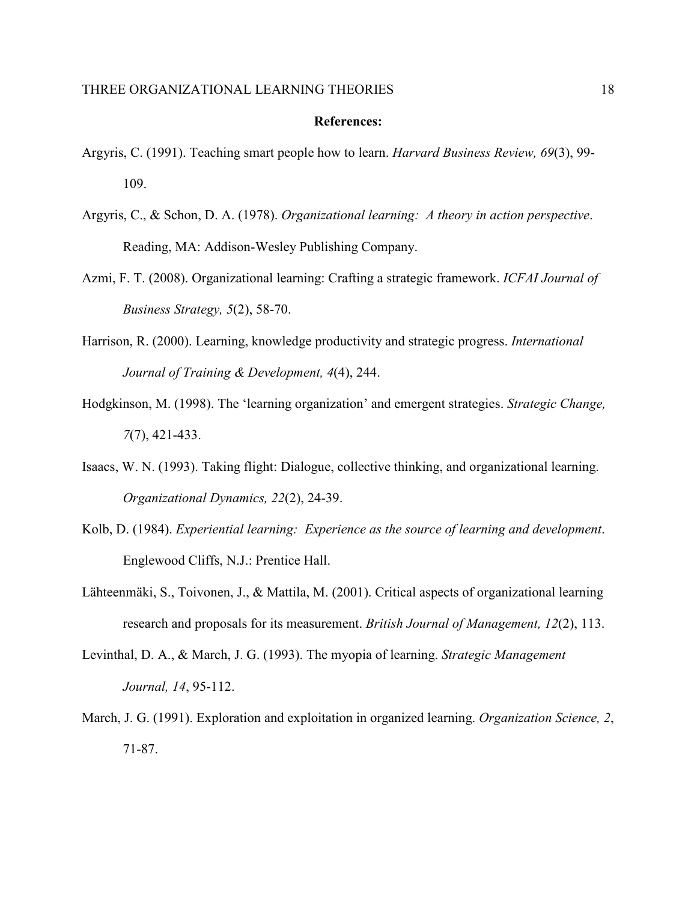#### **References:**

- Argyris, C. (1991). Teaching smart people how to learn. *Harvard Business Review, 69*(3), 99- 109.
- Argyris, C., & Schon, D. A. (1978). *Organizational learning: A theory in action perspective*. Reading, MA: Addison-Wesley Publishing Company.
- Azmi, F. T. (2008). Organizational learning: Crafting a strategic framework. *ICFAI Journal of Business Strategy, 5*(2), 58-70.
- Harrison, R. (2000). Learning, knowledge productivity and strategic progress. *International Journal of Training & Development, 4*(4), 244.
- Hodgkinson, M. (1998). The 'learning organization' and emergent strategies. *Strategic Change, 7*(7), 421-433.
- Isaacs, W. N. (1993). Taking flight: Dialogue, collective thinking, and organizational learning. *Organizational Dynamics, 22*(2), 24-39.
- Kolb, D. (1984). *Experiential learning: Experience as the source of learning and development*. Englewood Cliffs, N.J.: Prentice Hall.
- Lähteenmäki, S., Toivonen, J., & Mattila, M. (2001). Critical aspects of organizational learning research and proposals for its measurement. *British Journal of Management, 12*(2), 113.
- Levinthal, D. A., & March, J. G. (1993). The myopia of learning. *Strategic Management Journal, 14*, 95-112.
- March, J. G. (1991). Exploration and exploitation in organized learning. *Organization Science, 2*, 71-87.